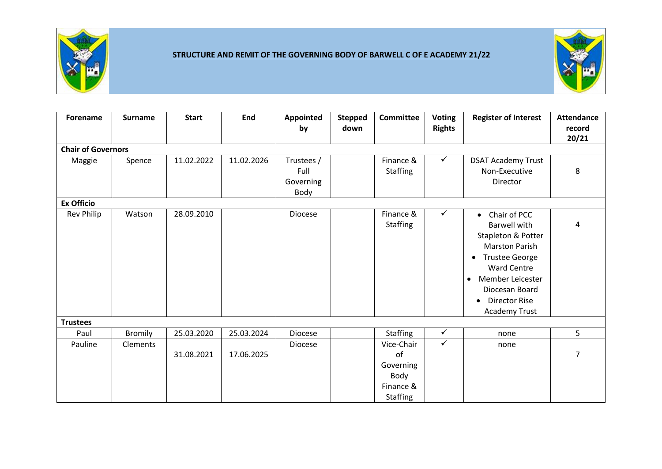

## **STRUCTURE AND REMIT OF THE GOVERNING BODY OF BARWELL C OF E ACADEMY 21/22**



| <b>Forename</b>           | <b>Surname</b> | <b>Start</b> | End        | Appointed<br>by                         | <b>Stepped</b><br>down | <b>Committee</b>                                                      | <b>Voting</b><br><b>Rights</b> | <b>Register of Interest</b>                                                                                                                                                                                                                                          | <b>Attendance</b><br>record<br>20/21 |
|---------------------------|----------------|--------------|------------|-----------------------------------------|------------------------|-----------------------------------------------------------------------|--------------------------------|----------------------------------------------------------------------------------------------------------------------------------------------------------------------------------------------------------------------------------------------------------------------|--------------------------------------|
| <b>Chair of Governors</b> |                |              |            |                                         |                        |                                                                       |                                |                                                                                                                                                                                                                                                                      |                                      |
| Maggie                    | Spence         | 11.02.2022   | 11.02.2026 | Trustees /<br>Full<br>Governing<br>Body |                        | Finance &<br><b>Staffing</b>                                          | $\checkmark$                   | <b>DSAT Academy Trust</b><br>Non-Executive<br>Director                                                                                                                                                                                                               | 8                                    |
| <b>Ex Officio</b>         |                |              |            |                                         |                        |                                                                       |                                |                                                                                                                                                                                                                                                                      |                                      |
| Rev Philip                | Watson         | 28.09.2010   |            | Diocese                                 |                        | Finance &<br><b>Staffing</b>                                          | ✓                              | Chair of PCC<br>$\bullet$<br><b>Barwell with</b><br>Stapleton & Potter<br><b>Marston Parish</b><br><b>Trustee George</b><br>$\bullet$<br><b>Ward Centre</b><br>Member Leicester<br>$\bullet$<br>Diocesan Board<br><b>Director Rise</b><br>$\bullet$<br>Academy Trust | 4                                    |
| <b>Trustees</b>           |                |              |            |                                         |                        |                                                                       |                                |                                                                                                                                                                                                                                                                      |                                      |
| Paul                      | <b>Bromily</b> | 25.03.2020   | 25.03.2024 | <b>Diocese</b>                          |                        | <b>Staffing</b>                                                       | $\checkmark$                   | none                                                                                                                                                                                                                                                                 | 5                                    |
| Pauline                   | Clements       | 31.08.2021   | 17.06.2025 | <b>Diocese</b>                          |                        | Vice-Chair<br>of<br>Governing<br>Body<br>Finance &<br><b>Staffing</b> | $\checkmark$                   | none                                                                                                                                                                                                                                                                 | $\overline{7}$                       |